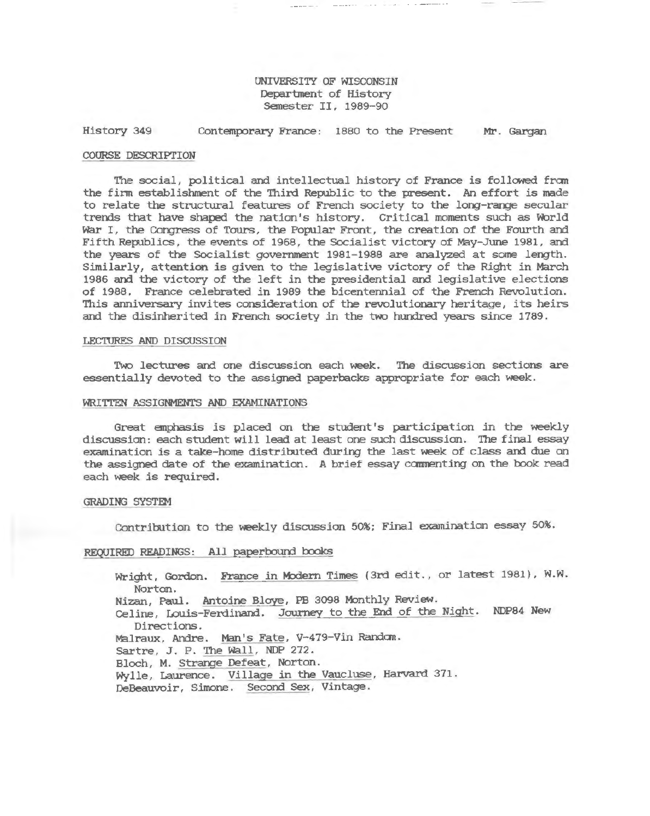#### UNIVERSITY OF WISCONSIN Department of History Semester II, 1989-90

#### History 349 Contemporary France: 1880 to the Present Mr. Gargan

#### COURSE DESCRIPTION

The social, *political* and intellectual history of France is *followed* from the finn establishment of the Third Republic to the present. An effort is made to relate the structural features of French society to the long-range secular trends that have shaped the nation's history. Critical moments such as World War I, the Congress of Tours, the Popular Front, the creation of the Fourth and Fifth Republics, the events of 1968, the Socialist victory of May-June 1981, and the years of the Socialist government 1981-1988 are analyzed at some length. Similarly, attention is given to the legislative victory of the Right *in* March 1986 and the victory of the left *in* the presidential and legislative elections of 1988. France celebrated in 1989 the bicentennial of the French Revolution. This anniversary invites consideration of the revolutionary heritage, its heirs and the disinherited in French society in the two hundred years since 1789.

#### LECTURES AND DISCUSSION

Two lectures and one discussion each week. The discussion sections are essentially devoted to the assigned paperbacks appropriate for each week.

#### WRITTEN ASSIGNMENTS AND EXAMINATIONS

Great emphasis is placed on the student's participation *in* the weekly discussion: each student will lead at least one such discussion. The final essay examination is a take-horne distributed during the last week of class and due on the assigned date of the examination. A brief essay canmenting on the book read each week is required.

#### GRADING SYSTEM

Contribution to the weekly discussion 50%; Final examination essay 50%.

#### REQUIRED READINGS: All paperbound books

Wright, Gordon. France in Modern Times (3rd edit., or latest 1981), W.W. Norton. Nizan, Paul. Antoine Bloye, PB 3098 Monthly Review. Celine, Louis-Ferdinand. Journey to the End of the Night. NDP84 New Directions. Malraux, Andre. Man's Fate, V-479-Vin Random. Sartre, J. P. The Wall, NDP 272. Bloch, M. Strange Defeat, Norton. Wylle, Laurence. Village in the Vaucluse, Harvard 371. DeBeauvoir, Simone. Second Sex, Vintage.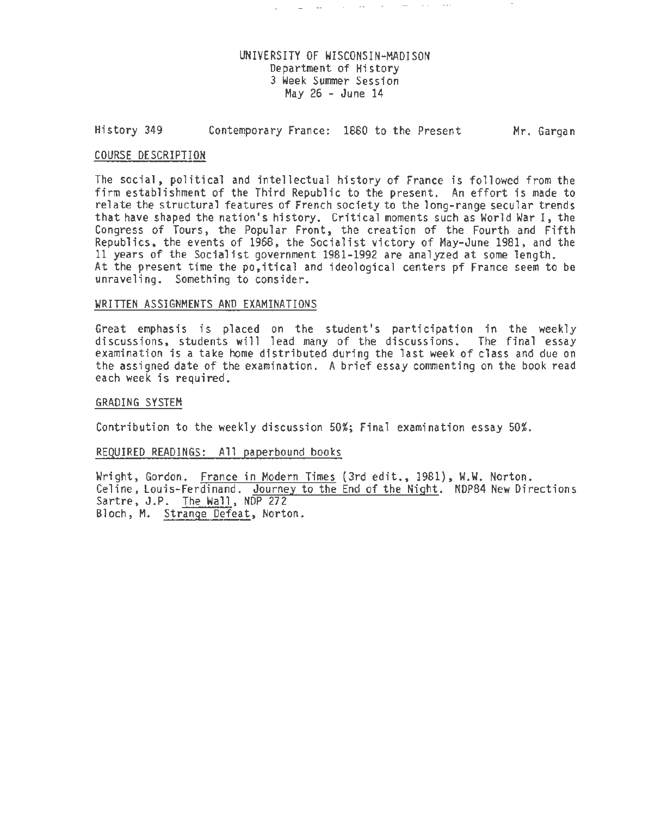### UNIVERSITY OF WISCONSIN-MADISON Department of History 3 Week Summer Session May  $26$  - June  $14$

 $\omega_{\rm{max}}$  and  $\omega_{\rm{max}}$  are the second contract of the  $\omega_{\rm{max}}$ 

#### History 349 Contemporary France: 1880 to the Present Mr. Gargan

#### COURSE DESCRIPTION

The social, political and intellectual history of France is followed from the firm establishment of the Third Republic to the present. An effort is made to relate the structural features of French society to the long-range secular trends that have shaped the nation's history. Critical moments such as World War I, the Congress of Tours, the Popular Front, the creation of the Fourth and Fifth Republics, the events of 1968, the Socialist victory of May-June 1981, and the 11 years of the Socialist government 1981-1992 are analyzed at some length. At the present time the po,itical and ideological centers pf France seem to be unraveling. Something to consider.

#### WRITTEN ASSIGNMENTS AND EXAMINATIONS

Great emphasis is placed on the student's participation in the weekly discussions, students will lead many of the discussions. The final essay examination is a take home distributed during the last week of class and due on the assigned date of the examination. A brief essay commenting on the book read each week is required.

### GRADING SYSTEM

Contribution to the weekly discussion 50%; Final examination essay 50%.

#### REQUIRED READINGS: All paperbound books

Wright, Gordon. France in Modern Times (3rd edit., 1981), W.W. Norton. Celine, Louis-Ferdinand. Journey to the End of the Night. NDP84 New Directions Sartre, J.P. The Wall, NDP 272 Bloch, M. Strange Defeat, Norton.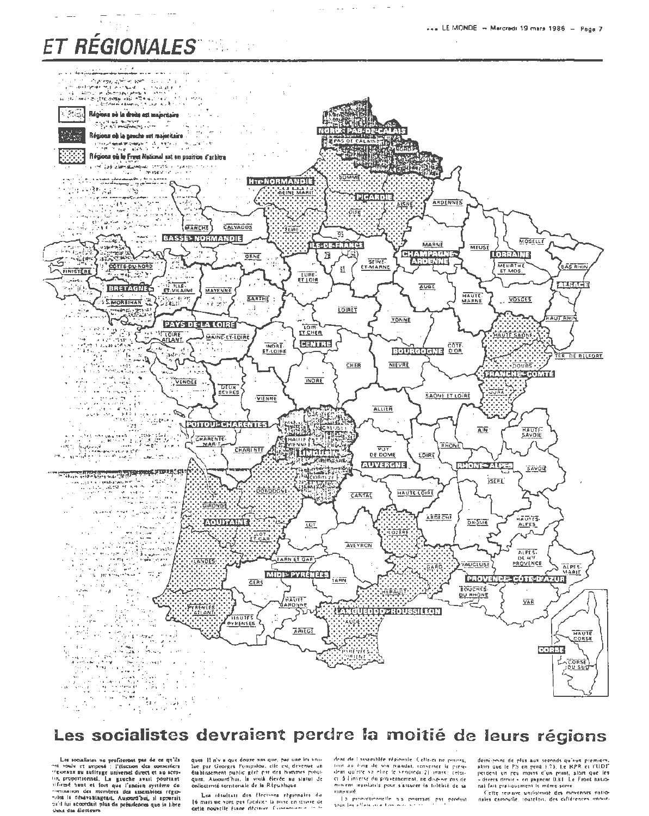# ET RÉGIONALES



 $\sim$  $\sim$ 

## Les socialistes devraient perdre la moitié de leurs régions

Les socialistes ne profiteront pas de ce qu'ils<br>ont vouls et imposé : l'élection des conseillers<br>régionaux au suffragé universel direct et au sertier. tenesses as suites as suites and position of the proportionnal. La gasche avait position if the find of the state of the state of the state of the state of the state of the state of the state of the state of the state of t paid fui accordait plus de présidences que la libre those des électeurs

ques. Il n'y a que douze ans que, par une ini vouques in a v a que conve ans que, par l'architer de par Georges Penipholou, elle est devenue un<br>diabinsement public géré per des histoires politi-<br>quest, Alioquid'hui, la voilà élevée au statut de<br>dellectivité territoriale

Les résultats des élections régionales du 16 mars not your post faculates la mine princhise de

dent de l'assemblée régionale. Celle-ci ne pourra, four or thing de son mandal, renverser le pression four qu'elle va elire le vendredi 21 mars : celuinowens tegislatils pour s'assurer la folèiné de sa танчие

thus les elfers in el ton mulle compart par produit.<br>Il al proportionnelle cha pointrant par produit

demi-point de plus aux seconds qu'aux premiers,<br>alors que le PS en perd E73. Le RPR et l'UDF<br>perdent un peu moins d'un point, alors que les<br>- divers droite » et paparent 0.81. Le Front pauco-<br>mai fait pratiquement le même

Cette reinive uniformité des movennes nationales campulle, toutelois, des différences impor-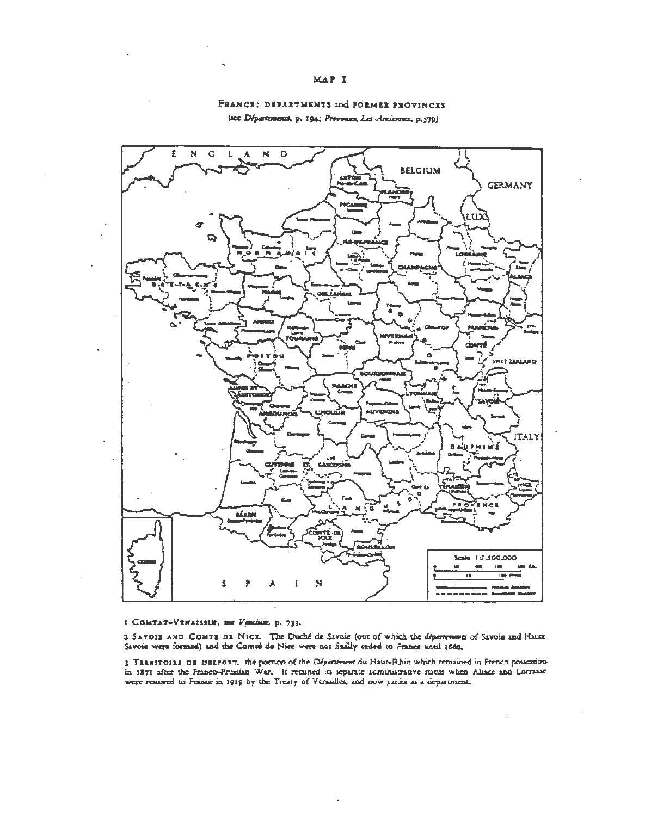#### MAP I

# £ N G A  $N$  D **BELGIUM GERMANY** ö **SMITZBLAND ALIVERS ITALY CASE** õ i e 1 £, Scale 1:7:300.000 **CON** Ţ N Ŝ

#### FRANCE: DEPARTMENTS and FORMER PROVINCES (see Départements, p. 194; Provinces, Les Anciennes, p.579)

#### I COMTAT-VENAISSIN, now Venthue, p. 733.

3 SAVOIS AND COMTS DE NICE. The Duché de Savoie (our of which the départements of Savoie and Haute Savoic were formed) and the Comté de Nice were not finally reded to France until 1860.

3 TIRRITOIRE DE BELFORT, the portion of the Départment du Haut-Rhin which remained in French possessionin 1871 after the Franco-Prissian War. It retained its separate administrative runns when Alsace and Lorrause were restored to France in 1919 by the Treaty of Versalles, and now ranks as a department.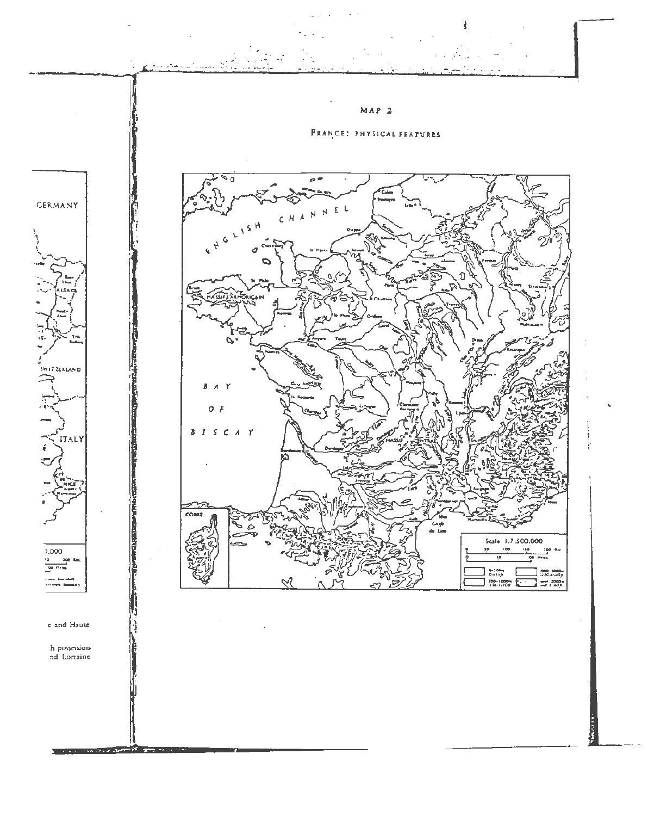